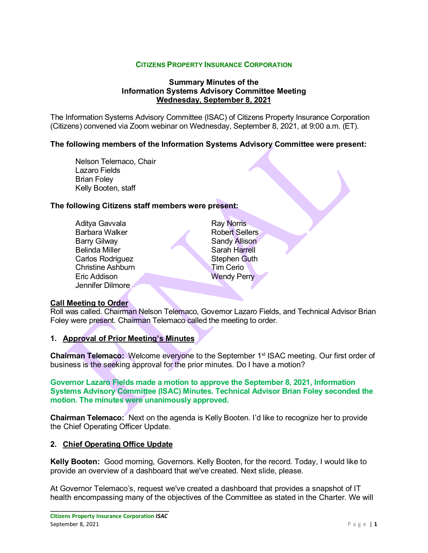## **CITIZENS PROPERTY INSURANCE CORPORATION**

## **Summary Minutes of the Information Systems Advisory Committee Meeting Wednesday, September 8, 2021**

The Information Systems Advisory Committee (ISAC) of Citizens Property Insurance Corporation (Citizens) convened via Zoom webinar on Wednesday, September 8, 2021, at 9:00 a.m. (ET).

## **The following members of the Information Systems Advisory Committee were present:**

Nelson Telemaco, Chair Lazaro Fields Brian Foley Kelly Booten, staff

#### **The following Citizens staff members were present:**

Aditya Gavvala Barbara Walker Barry Gilway Belinda Miller Carlos Rodriguez Christine Ashburn Eric Addison Jennifer Dilmore

Ray Norris Robert Sellers Sandy Allison Sarah Harrell Stephen Guth Tim Cerio Wendy Perry

#### **Call Meeting to Order**

Roll was called. Chairman Nelson Telemaco, Governor Lazaro Fields, and Technical Advisor Brian Foley were present. Chairman Telemaco called the meeting to order.

### **1. Approval of Prior Meeting's Minutes**

**Chairman Telemaco:** Welcome everyone to the September 1<sup>st</sup> ISAC meeting. Our first order of business is the seeking approval for the prior minutes. Do I have a motion?

**Governor Lazaro Fields made a motion to approve the September 8, 2021, Information Systems Advisory Committee (ISAC) Minutes. Technical Advisor Brian Foley seconded the motion. The minutes were unanimously approved.**

**Chairman Telemaco:** Next on the agenda is Kelly Booten. I'd like to recognize her to provide the Chief Operating Officer Update.

#### **2. Chief Operating Office Update**

**Kelly Booten:** Good morning, Governors. Kelly Booten, for the record. Today, I would like to provide an overview of a dashboard that we've created. Next slide, please.

At Governor Telemaco's, request we've created a dashboard that provides a snapshot of IT health encompassing many of the objectives of the Committee as stated in the Charter. We will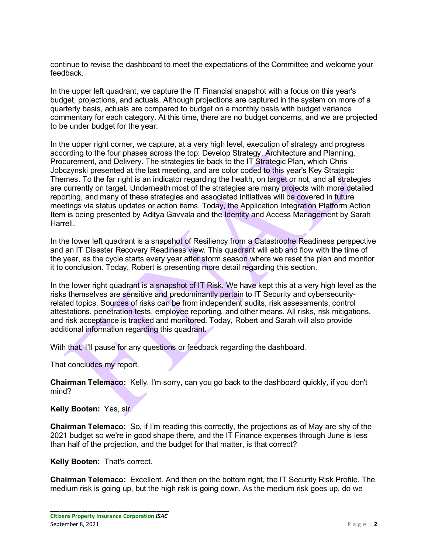continue to revise the dashboard to meet the expectations of the Committee and welcome your feedback.

In the upper left quadrant, we capture the IT Financial snapshot with a focus on this year's budget, projections, and actuals. Although projections are captured in the system on more of a quarterly basis, actuals are compared to budget on a monthly basis with budget variance commentary for each category. At this time, there are no budget concerns, and we are projected to be under budget for the year.

In the upper right corner, we capture, at a very high level, execution of strategy and progress according to the four phases across the top: Develop Strategy, Architecture and Planning, Procurement, and Delivery. The strategies tie back to the IT Strategic Plan, which Chris Jobczynski presented at the last meeting, and are color coded to this year's Key Strategic Themes. To the far right is an indicator regarding the health, on target or not, and all strategies are currently on target. Underneath most of the strategies are many projects with more detailed reporting, and many of these strategies and associated initiatives will be covered in future meetings via status updates or action items. Today, the Application Integration Platform Action Item is being presented by Aditya Gavvala and the Identity and Access Management by Sarah Harrell.

In the lower left quadrant is a snapshot of Resiliency from a Catastrophe Readiness perspective and an IT Disaster Recovery Readiness view. This quadrant will ebb and flow with the time of the year, as the cycle starts every year after storm season where we reset the plan and monitor it to conclusion. Today, Robert is presenting more detail regarding this section.

In the lower right quadrant is a snapshot of IT Risk. We have kept this at a very high level as the risks themselves are sensitive and predominantly pertain to IT Security and cybersecurityrelated topics. Sources of risks can be from independent audits, risk assessments, control attestations, penetration tests, employee reporting, and other means. All risks, risk mitigations, and risk acceptance is tracked and monitored. Today, Robert and Sarah will also provide additional information regarding this quadrant.

With that, I'll pause for any questions or feedback regarding the dashboard.

That concludes my report.

**Chairman Telemaco:** Kelly, I'm sorry, can you go back to the dashboard quickly, if you don't mind?

**Kelly Booten:** Yes, sir.

**Chairman Telemaco:** So, if I'm reading this correctly, the projections as of May are shy of the 2021 budget so we're in good shape there, and the IT Finance expenses through June is less than half of the projection, and the budget for that matter, is that correct?

**Kelly Booten:** That's correct.

**Chairman Telemaco:** Excellent. And then on the bottom right, the IT Security Risk Profile. The medium risk is going up, but the high risk is going down. As the medium risk goes up, do we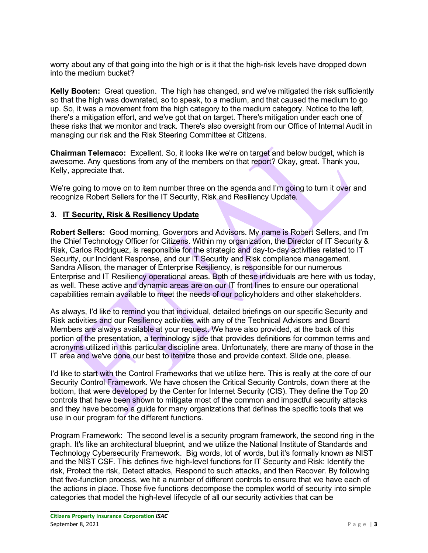worry about any of that going into the high or is it that the high-risk levels have dropped down into the medium bucket?

**Kelly Booten:** Great question. The high has changed, and we've mitigated the risk sufficiently so that the high was downrated, so to speak, to a medium, and that caused the medium to go up. So, it was a movement from the high category to the medium category. Notice to the left, there's a mitigation effort, and we've got that on target. There's mitigation under each one of these risks that we monitor and track. There's also oversight from our Office of Internal Audit in managing our risk and the Risk Steering Committee at Citizens.

**Chairman Telemaco:** Excellent. So, it looks like we're on target and below budget, which is awesome. Any questions from any of the members on that report? Okay, great. Thank you, Kelly, appreciate that.

We're going to move on to item number three on the agenda and I'm going to turn it over and recognize Robert Sellers for the IT Security, Risk and Resiliency Update.

## **3. IT Security, Risk & Resiliency Update**

**Robert Sellers:** Good morning, Governors and Advisors. My name is Robert Sellers, and I'm the Chief Technology Officer for Citizens. Within my organization, the Director of IT Security & Risk, Carlos Rodriguez, is responsible for the strategic and day-to-day activities related to IT Security, our Incident Response, and our IT Security and Risk compliance management. Sandra Allison, the manager of Enterprise Resiliency, is responsible for our numerous Enterprise and IT Resiliency operational areas. Both of these individuals are here with us today, as well. These active and dynamic areas are on our IT front lines to ensure our operational capabilities remain available to meet the needs of our policyholders and other stakeholders.

As always, I'd like to remind you that individual, detailed briefings on our specific Security and Risk activities and our Resiliency activities with any of the Technical Advisors and Board Members are always available at your request. We have also provided, at the back of this portion of the presentation, a terminology slide that provides definitions for common terms and acronyms utilized in this particular discipline area. Unfortunately, there are many of those in the IT area and we've done our best to itemize those and provide context. Slide one, please.

I'd like to start with the Control Frameworks that we utilize here. This is really at the core of our Security Control Framework. We have chosen the Critical Security Controls, down there at the bottom, that were developed by the Center for Internet Security (CIS). They define the Top 20 controls that have been shown to mitigate most of the common and impactful security attacks and they have become a guide for many organizations that defines the specific tools that we use in our program for the different functions.

Program Framework: The second level is a security program framework, the second ring in the graph. It's like an architectural blueprint, and we utilize the National Institute of Standards and Technology Cybersecurity Framework. Big words, lot of words, but it's formally known as NIST and the NIST CSF. This defines five high-level functions for IT Security and Risk: Identify the risk, Protect the risk, Detect attacks, Respond to such attacks, and then Recover. By following that five-function process, we hit a number of different controls to ensure that we have each of the actions in place. Those five functions decompose the complex world of security into simple categories that model the high-level lifecycle of all our security activities that can be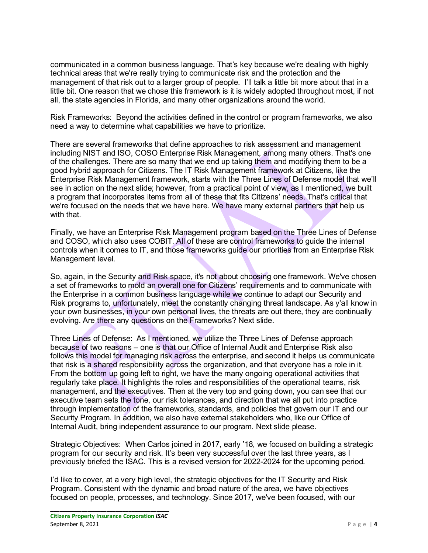communicated in a common business language. That's key because we're dealing with highly technical areas that we're really trying to communicate risk and the protection and the management of that risk out to a larger group of people. I'll talk a little bit more about that in a little bit. One reason that we chose this framework is it is widely adopted throughout most, if not all, the state agencies in Florida, and many other organizations around the world.

Risk Frameworks: Beyond the activities defined in the control or program frameworks, we also need a way to determine what capabilities we have to prioritize.

There are several frameworks that define approaches to risk assessment and management including NIST and ISO, COSO Enterprise Risk Management, among many others. That's one of the challenges. There are so many that we end up taking them and modifying them to be a good hybrid approach for Citizens. The IT Risk Management framework at Citizens, like the Enterprise Risk Management framework, starts with the Three Lines of Defense model that we'll see in action on the next slide; however, from a practical point of view, as I mentioned, we built a program that incorporates items from all of these that fits Citizens' needs. That's critical that we're focused on the needs that we have here. We have many external partners that help us with that.

Finally, we have an Enterprise Risk Management program based on the Three Lines of Defense and COSO, which also uses COBIT. All of these are control frameworks to guide the internal controls when it comes to IT, and those frameworks guide our priorities from an Enterprise Risk Management level.

So, again, in the Security and Risk space, it's not about choosing one framework. We've chosen a set of frameworks to mold an overall one for Citizens' requirements and to communicate with the Enterprise in a common business language while we continue to adapt our Security and Risk programs to, unfortunately, meet the constantly changing threat landscape. As y'all know in your own businesses, in your own personal lives, the threats are out there, they are continually evolving. Are there any questions on the Frameworks? Next slide.

Three Lines of Defense: As I mentioned, we utilize the Three Lines of Defense approach because of two reasons – one is that our Office of Internal Audit and Enterprise Risk also follows this model for managing risk across the enterprise, and second it helps us communicate that risk is a shared responsibility across the organization, and that everyone has a role in it. From the bottom up going left to right, we have the many ongoing operational activities that regularly take place. It highlights the roles and responsibilities of the operational teams, risk management, and the executives. Then at the very top and going down, you can see that our executive team sets the tone, our risk tolerances, and direction that we all put into practice through implementation of the frameworks, standards, and policies that govern our IT and our Security Program. In addition, we also have external stakeholders who, like our Office of Internal Audit, bring independent assurance to our program. Next slide please.

Strategic Objectives: When Carlos joined in 2017, early '18, we focused on building a strategic program for our security and risk. It's been very successful over the last three years, as I previously briefed the ISAC. This is a revised version for 2022-2024 for the upcoming period.

I'd like to cover, at a very high level, the strategic objectives for the IT Security and Risk Program. Consistent with the dynamic and broad nature of the area, we have objectives focused on people, processes, and technology. Since 2017, we've been focused, with our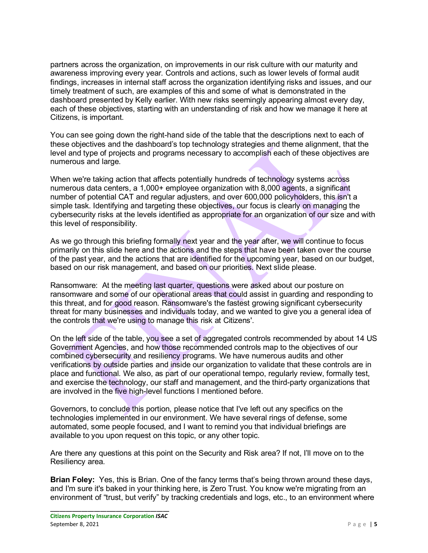partners across the organization, on improvements in our risk culture with our maturity and awareness improving every year. Controls and actions, such as lower levels of formal audit findings, increases in internal staff across the organization identifying risks and issues, and our timely treatment of such, are examples of this and some of what is demonstrated in the dashboard presented by Kelly earlier. With new risks seemingly appearing almost every day, each of these objectives, starting with an understanding of risk and how we manage it here at Citizens, is important.

You can see going down the right-hand side of the table that the descriptions next to each of these objectives and the dashboard's top technology strategies and theme alignment, that the level and type of projects and programs necessary to accomplish each of these objectives are numerous and large.

When we're taking action that affects potentially hundreds of technology systems across numerous data centers, a 1,000+ employee organization with 8,000 agents, a significant number of potential CAT and regular adjusters, and over 600,000 policyholders, this isn't a simple task. Identifying and targeting these objectives, our focus is clearly on managing the cybersecurity risks at the levels identified as appropriate for an organization of our size and with this level of responsibility.

As we go through this briefing formally next year and the year after, we will continue to focus primarily on this slide here and the actions and the steps that have been taken over the course of the past year, and the actions that are identified for the upcoming year, based on our budget, based on our risk management, and based on our priorities. Next slide please.

Ransomware: At the meeting last quarter, questions were asked about our posture on ransomware and some of our operational areas that could assist in guarding and responding to this threat, and for good reason. Ransomware's the fastest growing significant cybersecurity threat for many businesses and individuals today, and we wanted to give you a general idea of the controls that we're using to manage this risk at Citizens'.

On the left side of the table, you see a set of aggregated controls recommended by about 14 US Government Agencies, and how those recommended controls map to the objectives of our combined cybersecurity and resiliency programs. We have numerous audits and other verifications by outside parties and inside our organization to validate that these controls are in place and functional. We also, as part of our operational tempo, regularly review, formally test, and exercise the technology, our staff and management, and the third-party organizations that are involved in the five high-level functions I mentioned before.

Governors, to conclude this portion, please notice that I've left out any specifics on the technologies implemented in our environment. We have several rings of defense, some automated, some people focused, and I want to remind you that individual briefings are available to you upon request on this topic, or any other topic.

Are there any questions at this point on the Security and Risk area? If not, I'll move on to the Resiliency area.

**Brian Foley:** Yes, this is Brian. One of the fancy terms that's being thrown around these days, and I'm sure it's baked in your thinking here, is Zero Trust. You know we're migrating from an environment of "trust, but verify" by tracking credentials and logs, etc., to an environment where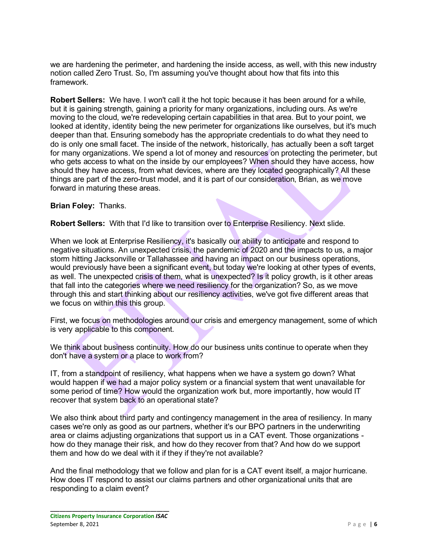we are hardening the perimeter, and hardening the inside access, as well, with this new industry notion called Zero Trust. So, I'm assuming you've thought about how that fits into this framework.

**Robert Sellers:** We have. I won't call it the hot topic because it has been around for a while, but it is gaining strength, gaining a priority for many organizations, including ours. As we're moving to the cloud, we're redeveloping certain capabilities in that area. But to your point, we looked at identity, identity being the new perimeter for organizations like ourselves, but it's much deeper than that. Ensuring somebody has the appropriate credentials to do what they need to do is only one small facet. The inside of the network, historically, has actually been a soft target for many organizations. We spend a lot of money and resources on protecting the perimeter, but who gets access to what on the inside by our employees? When should they have access, how should they have access, from what devices, where are they located geographically? All these things are part of the zero-trust model, and it is part of our consideration, Brian, as we move forward in maturing these areas.

## **Brian Foley:** Thanks.

**Robert Sellers:** With that I'd like to transition over to Enterprise Resiliency. Next slide.

When we look at Enterprise Resiliency, it's basically our ability to anticipate and respond to negative situations. An unexpected crisis, the pandemic of 2020 and the impacts to us, a major storm hitting Jacksonville or Tallahassee and having an impact on our business operations, would previously have been a significant event, but today we're looking at other types of events, as well. The unexpected crisis of them, what is unexpected? Is it policy growth, is it other areas that fall into the categories where we need resiliency for the organization? So, as we move through this and start thinking about our resiliency activities, we've got five different areas that we focus on within this this group.

First, we focus on methodologies around our crisis and emergency management, some of which is very applicable to this component.

We think about business continuity. How do our business units continue to operate when they don't have a system or a place to work from?

IT, from a standpoint of resiliency, what happens when we have a system go down? What would happen if we had a major policy system or a financial system that went unavailable for some period of time? How would the organization work but, more importantly, how would IT recover that system back to an operational state?

We also think about third party and contingency management in the area of resiliency. In many cases we're only as good as our partners, whether it's our BPO partners in the underwriting area or claims adjusting organizations that support us in a CAT event. Those organizations how do they manage their risk, and how do they recover from that? And how do we support them and how do we deal with it if they if they're not available?

And the final methodology that we follow and plan for is a CAT event itself, a major hurricane. How does IT respond to assist our claims partners and other organizational units that are responding to a claim event?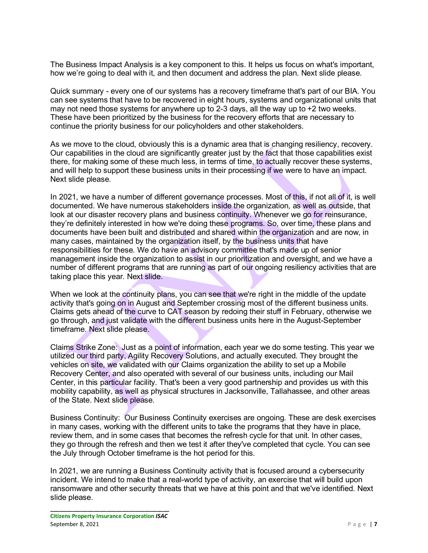The Business Impact Analysis is a key component to this. It helps us focus on what's important, how we're going to deal with it, and then document and address the plan. Next slide please.

Quick summary - every one of our systems has a recovery timeframe that's part of our BIA. You can see systems that have to be recovered in eight hours, systems and organizational units that may not need those systems for anywhere up to  $2-3$  days, all the way up to  $+2$  two weeks. These have been prioritized by the business for the recovery efforts that are necessary to continue the priority business for our policyholders and other stakeholders.

As we move to the cloud, obviously this is a dynamic area that is changing resiliency, recovery. Our capabilities in the cloud are significantly greater just by the fact that those capabilities exist there, for making some of these much less, in terms of time, to actually recover these systems, and will help to support these business units in their processing if we were to have an impact. Next slide please.

In 2021, we have a number of different governance processes. Most of this, if not all of it, is well documented. We have numerous stakeholders inside the organization, as well as outside, that look at our disaster recovery plans and business continuity. Whenever we go for reinsurance, they're definitely interested in how we're doing these programs. So, over time, these plans and documents have been built and distributed and shared within the organization and are now, in many cases, maintained by the organization itself, by the business units that have responsibilities for these. We do have an advisory committee that's made up of senior management inside the organization to assist in our prioritization and oversight, and we have a number of different programs that are running as part of our ongoing resiliency activities that are taking place this year. Next slide.

When we look at the continuity plans, you can see that we're right in the middle of the update activity that's going on in August and September crossing most of the different business units. Claims gets ahead of the curve to CAT season by redoing their stuff in February, otherwise we go through, and just validate with the different business units here in the August-September timeframe. Next slide please.

Claims Strike Zone: Just as a point of information, each year we do some testing. This year we utilized our third party, Agility Recovery Solutions, and actually executed. They brought the vehicles on site, we validated with our Claims organization the ability to set up a Mobile Recovery Center, and also operated with several of our business units, including our Mail Center, in this particular facility. That's been a very good partnership and provides us with this mobility capability, as well as physical structures in Jacksonville, Tallahassee, and other areas of the State. Next slide please.

Business Continuity: Our Business Continuity exercises are ongoing. These are desk exercises in many cases, working with the different units to take the programs that they have in place, review them, and in some cases that becomes the refresh cycle for that unit. In other cases, they go through the refresh and then we test it after they've completed that cycle. You can see the July through October timeframe is the hot period for this.

In 2021, we are running a Business Continuity activity that is focused around a cybersecurity incident. We intend to make that a real-world type of activity, an exercise that will build upon ransomware and other security threats that we have at this point and that we've identified. Next slide please.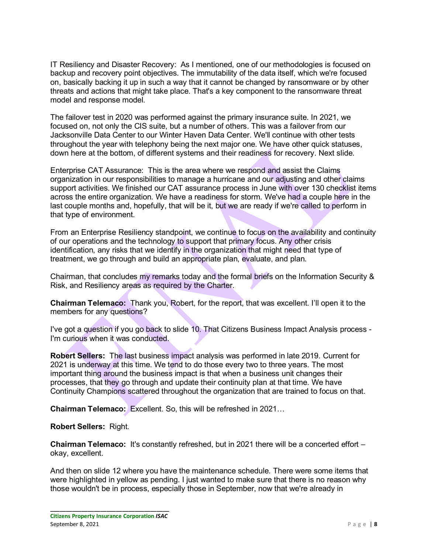IT Resiliency and Disaster Recovery: As I mentioned, one of our methodologies is focused on backup and recovery point objectives. The immutability of the data itself, which we're focused on, basically backing it up in such a way that it cannot be changed by ransomware or by other threats and actions that might take place. That's a key component to the ransomware threat model and response model.

The failover test in 2020 was performed against the primary insurance suite. In 2021, we focused on, not only the CIS suite, but a number of others. This was a failover from our Jacksonville Data Center to our Winter Haven Data Center. We'll continue with other tests throughout the year with telephony being the next major one. We have other quick statuses, down here at the bottom, of different systems and their readiness for recovery. Next slide.

Enterprise CAT Assurance: This is the area where we respond and assist the Claims organization in our responsibilities to manage a hurricane and our adjusting and other claims support activities. We finished our CAT assurance process in June with over 130 checklist items across the entire organization. We have a readiness for storm. We've had a couple here in the last couple months and, hopefully, that will be it, but we are ready if we're called to perform in that type of environment.

From an Enterprise Resiliency standpoint, we continue to focus on the availability and continuity of our operations and the technology to support that primary focus. Any other crisis identification, any risks that we identify in the organization that might need that type of treatment, we go through and build an appropriate plan, evaluate, and plan.

Chairman, that concludes my remarks today and the formal briefs on the Information Security & Risk, and Resiliency areas as required by the Charter.

**Chairman Telemaco:** Thank you, Robert, for the report, that was excellent. I'll open it to the members for any questions?

I've got a question if you go back to slide 10. That Citizens Business Impact Analysis process - I'm curious when it was conducted.

**Robert Sellers:** The last business impact analysis was performed in late 2019. Current for 2021 is underway at this time. We tend to do those every two to three years. The most important thing around the business impact is that when a business unit changes their processes, that they go through and update their continuity plan at that time. We have Continuity Champions scattered throughout the organization that are trained to focus on that.

**Chairman Telemaco:** Excellent. So, this will be refreshed in 2021…

#### **Robert Sellers:** Right.

**Chairman Telemaco:** It's constantly refreshed, but in 2021 there will be a concerted effort – okay, excellent.

And then on slide 12 where you have the maintenance schedule. There were some items that were highlighted in yellow as pending. I just wanted to make sure that there is no reason why those wouldn't be in process, especially those in September, now that we're already in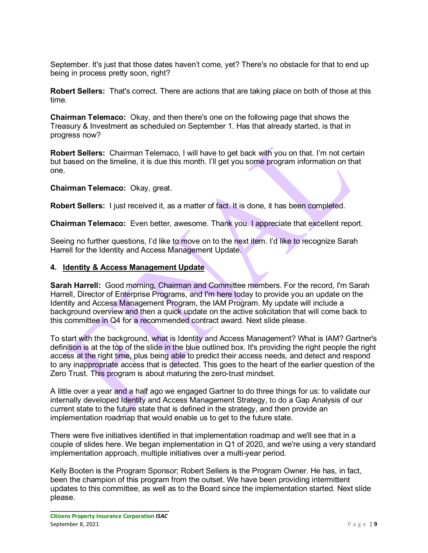September. It's just that those dates haven't come, yet? There's no obstacle for that to end up being in process pretty soon, right?

**Robert Sellers:** That's correct. There are actions that are taking place on both of those at this time.

**Chairman Telemaco:** Okay, and then there's one on the following page that shows the Treasury & Investment as scheduled on September 1. Has that already started, is that in progress now?

**Robert Sellers:** Chairman Telemaco, I will have to get back with you on that. I'm not certain but based on the timeline, it is due this month. I'll get you some program information on that one.

**Chairman Telemaco:** Okay, great.

**Robert Sellers:** I just received it, as a matter of fact. It is done, it has been completed.

**Chairman Telemaco:** Even better, awesome. Thank you. I appreciate that excellent report.

Seeing no further questions, I'd like to move on to the next item. I'd like to recognize Sarah Harrell for the Identity and Access Management Update.

## **4. Identity & Access Management Update**

**Sarah Harrell:** Good morning, Chairman and Committee members. For the record, I'm Sarah Harrell, Director of Enterprise Programs, and I'm here today to provide you an update on the Identity and Access Management Program, the IAM Program. My update will include a background overview and then a quick update on the active solicitation that will come back to this committee in Q4 for a recommended contract award. Next slide please.

To start with the background, what is Identity and Access Management? What is IAM? Gartner's definition is at the top of the slide in the blue outlined box. It's providing the right people the right access at the right time, plus being able to predict their access needs, and detect and respond to any inappropriate access that is detected. This goes to the heart of the earlier question of the Zero Trust. This program is about maturing the zero-trust mindset.

A little over a year and a half ago we engaged Gartner to do three things for us: to validate our internally developed Identity and Access Management Strategy, to do a Gap Analysis of our current state to the future state that is defined in the strategy, and then provide an implementation roadmap that would enable us to get to the future state.

There were five initiatives identified in that implementation roadmap and we'll see that in a couple of slides here. We began implementation in Q1 of 2020, and we're using a very standard implementation approach, multiple initiatives over a multi-year period.

Kelly Booten is the Program Sponsor; Robert Sellers is the Program Owner. He has, in fact, been the champion of this program from the outset. We have been providing intermittent updates to this committee, as well as to the Board since the implementation started. Next slide please.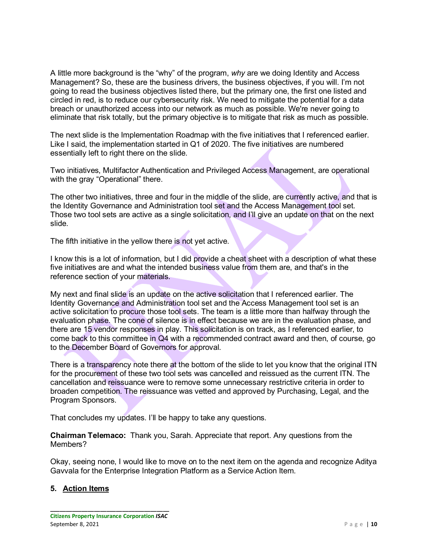A little more background is the "why" of the program, *why* are we doing Identity and Access Management? So, these are the business drivers, the business objectives, if you will. I'm not going to read the business objectives listed there, but the primary one, the first one listed and circled in red, is to reduce our cybersecurity risk. We need to mitigate the potential for a data breach or unauthorized access into our network as much as possible. We're never going to eliminate that risk totally, but the primary objective is to mitigate that risk as much as possible.

The next slide is the Implementation Roadmap with the five initiatives that I referenced earlier. Like I said, the implementation started in Q1 of 2020. The five initiatives are numbered essentially left to right there on the slide.

Two initiatives, Multifactor Authentication and Privileged Access Management, are operational with the gray "Operational" there.

The other two initiatives, three and four in the middle of the slide, are currently active, and that is the Identity Governance and Administration tool set and the Access Management tool set. Those two tool sets are active as a single solicitation, and I'll give an update on that on the next slide.

The fifth initiative in the yellow there is not yet active.

I know this is a lot of information, but I did provide a cheat sheet with a description of what these five initiatives are and what the intended business value from them are, and that's in the reference section of your materials.

My next and final slide is an update on the active solicitation that I referenced earlier. The Identity Governance and Administration tool set and the Access Management tool set is an active solicitation to procure those tool sets. The team is a little more than halfway through the evaluation phase. The cone of silence is in effect because we are in the evaluation phase, and there are 15 vendor responses in play. This solicitation is on track, as I referenced earlier, to come back to this committee in Q4 with a recommended contract award and then, of course, go to the December Board of Governors for approval.

There is a transparency note there at the bottom of the slide to let you know that the original ITN for the procurement of these two tool sets was cancelled and reissued as the current ITN. The cancellation and reissuance were to remove some unnecessary restrictive criteria in order to broaden competition. The reissuance was vetted and approved by Purchasing, Legal, and the Program Sponsors.

That concludes my updates. I'll be happy to take any questions.

**Chairman Telemaco:** Thank you, Sarah. Appreciate that report. Any questions from the Members?

Okay, seeing none, I would like to move on to the next item on the agenda and recognize Aditya Gavvala for the Enterprise Integration Platform as a Service Action Item.

## **5. Action Items**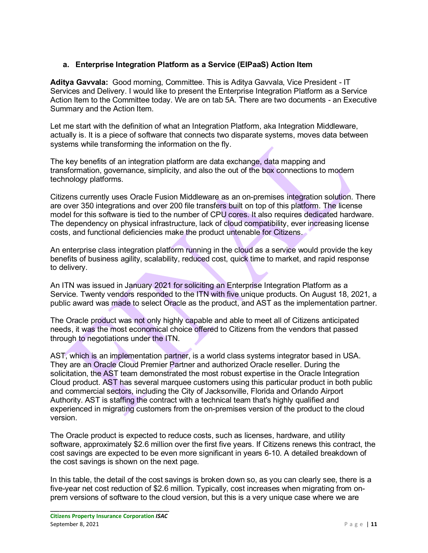# **a. Enterprise Integration Platform as a Service (EIPaaS) Action Item**

**Aditya Gavvala:** Good morning, Committee. This is Aditya Gavvala, Vice President - IT Services and Delivery. I would like to present the Enterprise Integration Platform as a Service Action Item to the Committee today. We are on tab 5A. There are two documents - an Executive Summary and the Action Item.

Let me start with the definition of what an Integration Platform, aka Integration Middleware, actually is. It is a piece of software that connects two disparate systems, moves data between systems while transforming the information on the fly.

The key benefits of an integration platform are data exchange, data mapping and transformation, governance, simplicity, and also the out of the box connections to modern technology platforms.

Citizens currently uses Oracle Fusion Middleware as an on-premises integration solution. There are over 350 integrations and over 200 file transfers built on top of this platform. The license model for this software is tied to the number of CPU cores. It also requires dedicated hardware. The dependency on physical infrastructure, lack of cloud compatibility, ever increasing license costs, and functional deficiencies make the product untenable for Citizens.

An enterprise class integration platform running in the cloud as a service would provide the key benefits of business agility, scalability, reduced cost, quick time to market, and rapid response to delivery.

An ITN was issued in January 2021 for soliciting an Enterprise Integration Platform as a Service. Twenty vendors responded to the ITN with five unique products. On August 18, 2021, a public award was made to select Oracle as the product, and AST as the implementation partner.

The Oracle product was not only highly capable and able to meet all of Citizens anticipated needs, it was the most economical choice offered to Citizens from the vendors that passed through to negotiations under the ITN.

AST, which is an implementation partner, is a world class systems integrator based in USA. They are an Oracle Cloud Premier Partner and authorized Oracle reseller. During the solicitation, the AST team demonstrated the most robust expertise in the Oracle Integration Cloud product. AST has several marquee customers using this particular product in both public and commercial sectors, including the City of Jacksonville, Florida and Orlando Airport Authority. AST is staffing the contract with a technical team that's highly qualified and experienced in migrating customers from the on-premises version of the product to the cloud version.

The Oracle product is expected to reduce costs, such as licenses, hardware, and utility software, approximately \$2.6 million over the first five years. If Citizens renews this contract, the cost savings are expected to be even more significant in years 6-10. A detailed breakdown of the cost savings is shown on the next page.

In this table, the detail of the cost savings is broken down so, as you can clearly see, there is a five-year net cost reduction of \$2.6 million. Typically, cost increases when migrating from onprem versions of software to the cloud version, but this is a very unique case where we are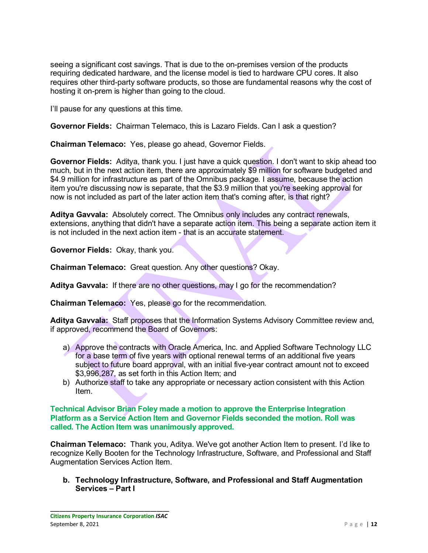seeing a significant cost savings. That is due to the on-premises version of the products requiring dedicated hardware, and the license model is tied to hardware CPU cores. It also requires other third-party software products, so those are fundamental reasons why the cost of hosting it on-prem is higher than going to the cloud.

I'll pause for any questions at this time.

**Governor Fields:** Chairman Telemaco, this is Lazaro Fields. Can I ask a question?

**Chairman Telemaco:** Yes, please go ahead, Governor Fields.

**Governor Fields:** Aditya, thank you. I just have a quick question. I don't want to skip ahead too much, but in the next action item, there are approximately \$9 million for software budgeted and \$4.9 million for infrastructure as part of the Omnibus package. I assume, because the action item you're discussing now is separate, that the \$3.9 million that you're seeking approval for now is not included as part of the later action item that's coming after, is that right?

**Aditya Gavvala:** Absolutely correct. The Omnibus only includes any contract renewals, extensions, anything that didn't have a separate action item. This being a separate action item it is not included in the next action item - that is an accurate statement.

**Governor Fields:** Okay, thank you.

**Chairman Telemaco:** Great question. Any other questions? Okay.

**Aditya Gavvala:** If there are no other questions, may I go for the recommendation?

**Chairman Telemaco:** Yes, please go for the recommendation.

**Aditya Gavvala:** Staff proposes that the Information Systems Advisory Committee review and, if approved, recommend the Board of Governors:

- a) Approve the contracts with Oracle America, Inc. and Applied Software Technology LLC for a base term of five years with optional renewal terms of an additional five years subject to future board approval, with an initial five-year contract amount not to exceed \$3,996,287, as set forth in this Action Item; and
- b) Authorize staff to take any appropriate or necessary action consistent with this Action Item.

**Technical Advisor Brian Foley made a motion to approve the Enterprise Integration Platform as a Service Action Item and Governor Fields seconded the motion. Roll was called. The Action Item was unanimously approved.**

**Chairman Telemaco:** Thank you, Aditya. We've got another Action Item to present. I'd like to recognize Kelly Booten for the Technology Infrastructure, Software, and Professional and Staff Augmentation Services Action Item.

**b. Technology Infrastructure, Software, and Professional and Staff Augmentation Services – Part I**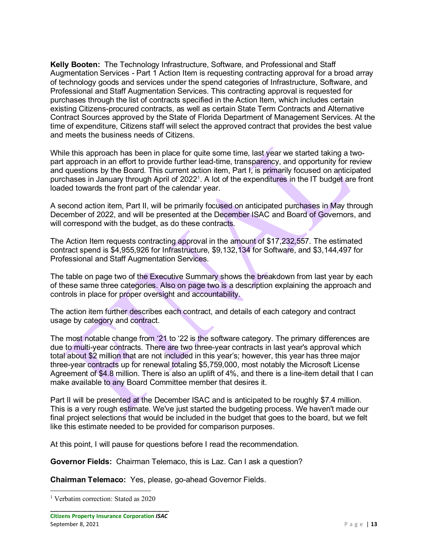**Kelly Booten:** The Technology Infrastructure, Software, and Professional and Staff Augmentation Services - Part 1 Action Item is requesting contracting approval for a broad array of technology goods and services under the spend categories of Infrastructure, Software, and Professional and Staff Augmentation Services. This contracting approval is requested for purchases through the list of contracts specified in the Action Item, which includes certain existing Citizens-procured contracts, as well as certain State Term Contracts and Alternative Contract Sources approved by the State of Florida Department of Management Services. At the time of expenditure, Citizens staff will select the approved contract that provides the best value and meets the business needs of Citizens.

While this approach has been in place for quite some time, last year we started taking a twopart approach in an effort to provide further lead-time, transparency, and opportunity for review and questions by the Board. This current action item, Part I, is primarily focused on anticipated purchases in January through April of 2022<sup>1</sup>. A lot of the expenditures in the IT budget are front loaded towards the front part of the calendar year.

A second action item, Part II, will be primarily focused on anticipated purchases in May through December of 2022, and will be presented at the December ISAC and Board of Governors, and will correspond with the budget, as do these contracts.

The Action Item requests contracting approval in the amount of \$17,232,557. The estimated contract spend is \$4,955,926 for Infrastructure, \$9,132,134 for Software, and \$3,144,497 for Professional and Staff Augmentation Services.

The table on page two of the Executive Summary shows the breakdown from last year by each of these same three categories. Also on page two is a description explaining the approach and controls in place for proper oversight and accountability.

The action item further describes each contract, and details of each category and contract usage by category and contract.

The most notable change from '21 to '22 is the software category. The primary differences are due to multi-year contracts. There are two three-year contracts in last year's approval which total about \$2 million that are not included in this year's; however, this year has three major three-year contracts up for renewal totaling \$5,759,000, most notably the Microsoft License Agreement of \$4.8 million. There is also an uplift of 4%, and there is a line-item detail that I can make available to any Board Committee member that desires it.

Part II will be presented at the December ISAC and is anticipated to be roughly \$7.4 million. This is a very rough estimate. We've just started the budgeting process. We haven't made our final project selections that would be included in the budget that goes to the board, but we felt like this estimate needed to be provided for comparison purposes.

At this point, I will pause for questions before I read the recommendation.

**Governor Fields:** Chairman Telemaco, this is Laz. Can I ask a question?

**Chairman Telemaco:** Yes, please, go-ahead Governor Fields.

<span id="page-12-0"></span><sup>&</sup>lt;sup>1</sup> Verbatim correction: Stated as 2020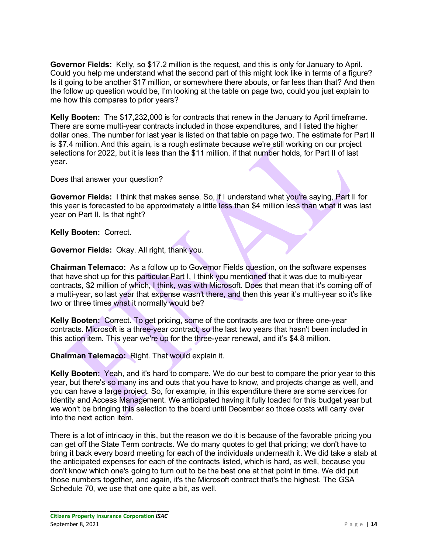**Governor Fields:** Kelly, so \$17.2 million is the request, and this is only for January to April. Could you help me understand what the second part of this might look like in terms of a figure? Is it going to be another \$17 million, or somewhere there abouts, or far less than that? And then the follow up question would be, I'm looking at the table on page two, could you just explain to me how this compares to prior years?

**Kelly Booten:** The \$17,232,000 is for contracts that renew in the January to April timeframe. There are some multi-year contracts included in those expenditures, and I listed the higher dollar ones. The number for last year is listed on that table on page two. The estimate for Part II is \$7.4 million. And this again, is a rough estimate because we're still working on our project selections for 2022, but it is less than the \$11 million, if that number holds, for Part II of last year.

Does that answer your question?

**Governor Fields:** I think that makes sense. So, if I understand what you're saying, Part II for this year is forecasted to be approximately a little less than \$4 million less than what it was last year on Part II. Is that right?

**Kelly Booten:** Correct.

**Governor Fields:** Okay. All right, thank you.

**Chairman Telemaco:** As a follow up to Governor Fields question, on the software expenses that have shot up for this particular Part I, I think you mentioned that it was due to multi-year contracts, \$2 million of which, I think, was with Microsoft. Does that mean that it's coming off of a multi-year, so last year that expense wasn't there, and then this year it's multi-year so it's like two or three times what it normally would be?

**Kelly Booten:** Correct. To get pricing, some of the contracts are two or three one-year contracts. Microsoft is a three-year contract, so the last two years that hasn't been included in this action item. This year we're up for the three-year renewal, and it's \$4.8 million.

**Chairman Telemaco:** Right. That would explain it.

**Kelly Booten:** Yeah, and it's hard to compare. We do our best to compare the prior year to this year, but there's so many ins and outs that you have to know, and projects change as well, and you can have a large project. So, for example, in this expenditure there are some services for Identity and Access Management. We anticipated having it fully loaded for this budget year but we won't be bringing this selection to the board until December so those costs will carry over into the next action item.

There is a lot of intricacy in this, but the reason we do it is because of the favorable pricing you can get off the State Term contracts. We do many quotes to get that pricing; we don't have to bring it back every board meeting for each of the individuals underneath it. We did take a stab at the anticipated expenses for each of the contracts listed, which is hard, as well, because you don't know which one's going to turn out to be the best one at that point in time. We did put those numbers together, and again, it's the Microsoft contract that's the highest. The GSA Schedule 70, we use that one quite a bit, as well.